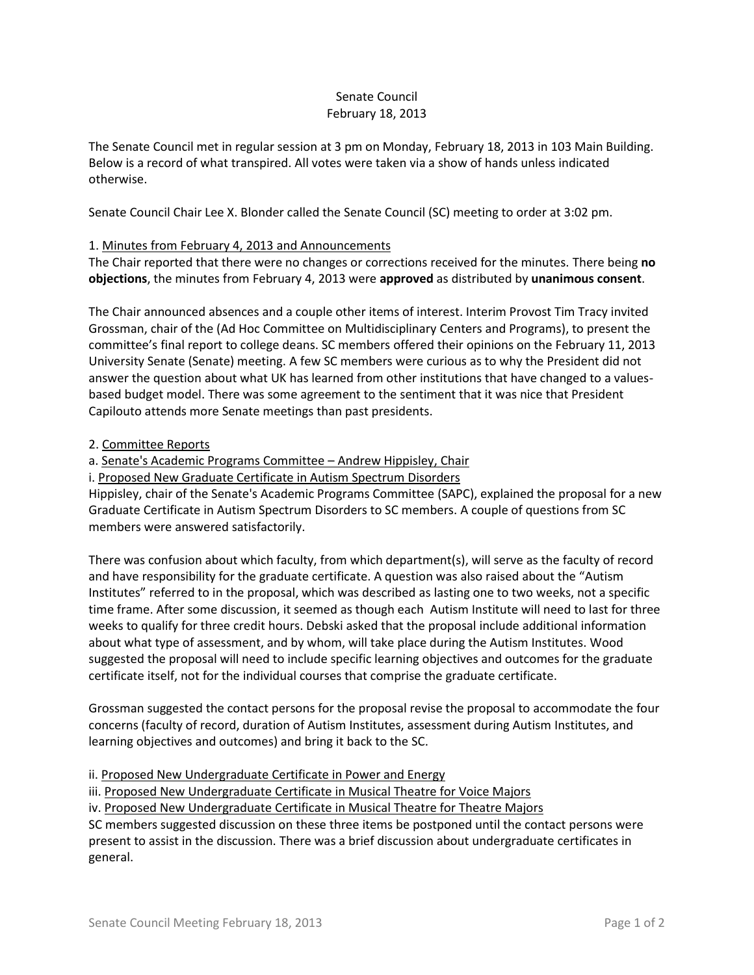## Senate Council February 18, 2013

The Senate Council met in regular session at 3 pm on Monday, February 18, 2013 in 103 Main Building. Below is a record of what transpired. All votes were taken via a show of hands unless indicated otherwise.

Senate Council Chair Lee X. Blonder called the Senate Council (SC) meeting to order at 3:02 pm.

## 1. Minutes from February 4, 2013 and Announcements

The Chair reported that there were no changes or corrections received for the minutes. There being **no objections**, the minutes from February 4, 2013 were **approved** as distributed by **unanimous consent**.

The Chair announced absences and a couple other items of interest. Interim Provost Tim Tracy invited Grossman, chair of the (Ad Hoc Committee on Multidisciplinary Centers and Programs), to present the committee's final report to college deans. SC members offered their opinions on the February 11, 2013 University Senate (Senate) meeting. A few SC members were curious as to why the President did not answer the question about what UK has learned from other institutions that have changed to a valuesbased budget model. There was some agreement to the sentiment that it was nice that President Capilouto attends more Senate meetings than past presidents.

## 2. Committee Reports

a. Senate's Academic Programs Committee – Andrew Hippisley, Chair

i. Proposed New Graduate Certificate in Autism Spectrum Disorders

Hippisley, chair of the Senate's Academic Programs Committee (SAPC), explained the proposal for a new Graduate Certificate in Autism Spectrum Disorders to SC members. A couple of questions from SC members were answered satisfactorily.

There was confusion about which faculty, from which department(s), will serve as the faculty of record and have responsibility for the graduate certificate. A question was also raised about the "Autism Institutes" referred to in the proposal, which was described as lasting one to two weeks, not a specific time frame. After some discussion, it seemed as though each Autism Institute will need to last for three weeks to qualify for three credit hours. Debski asked that the proposal include additional information about what type of assessment, and by whom, will take place during the Autism Institutes. Wood suggested the proposal will need to include specific learning objectives and outcomes for the graduate certificate itself, not for the individual courses that comprise the graduate certificate.

Grossman suggested the contact persons for the proposal revise the proposal to accommodate the four concerns (faculty of record, duration of Autism Institutes, assessment during Autism Institutes, and learning objectives and outcomes) and bring it back to the SC.

ii. Proposed New Undergraduate Certificate in Power and Energy

iii. Proposed New Undergraduate Certificate in Musical Theatre for Voice Majors

iv. Proposed New Undergraduate Certificate in Musical Theatre for Theatre Majors

SC members suggested discussion on these three items be postponed until the contact persons were present to assist in the discussion. There was a brief discussion about undergraduate certificates in general.